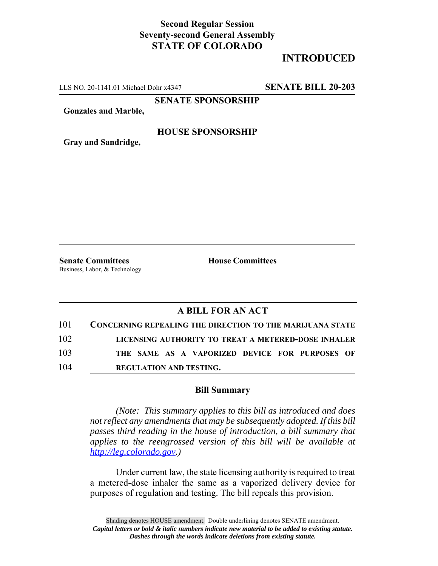## **Second Regular Session Seventy-second General Assembly STATE OF COLORADO**

# **INTRODUCED**

LLS NO. 20-1141.01 Michael Dohr x4347 **SENATE BILL 20-203**

**SENATE SPONSORSHIP**

**Gonzales and Marble,**

#### **HOUSE SPONSORSHIP**

**Gray and Sandridge,**

**Senate Committees House Committees** Business, Labor, & Technology

### **A BILL FOR AN ACT**

| 101 | <b>CONCERNING REPEALING THE DIRECTION TO THE MARIJUANA STATE</b> |
|-----|------------------------------------------------------------------|
| 102 | LICENSING AUTHORITY TO TREAT A METERED-DOSE INHALER              |
| 103 | THE SAME AS A VAPORIZED DEVICE FOR PURPOSES OF                   |
| 104 | <b>REGULATION AND TESTING.</b>                                   |

#### **Bill Summary**

*(Note: This summary applies to this bill as introduced and does not reflect any amendments that may be subsequently adopted. If this bill passes third reading in the house of introduction, a bill summary that applies to the reengrossed version of this bill will be available at http://leg.colorado.gov.)*

Under current law, the state licensing authority is required to treat a metered-dose inhaler the same as a vaporized delivery device for purposes of regulation and testing. The bill repeals this provision.